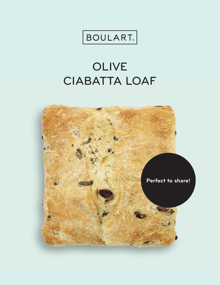

## OLIVE **CIABATTA LOAF**